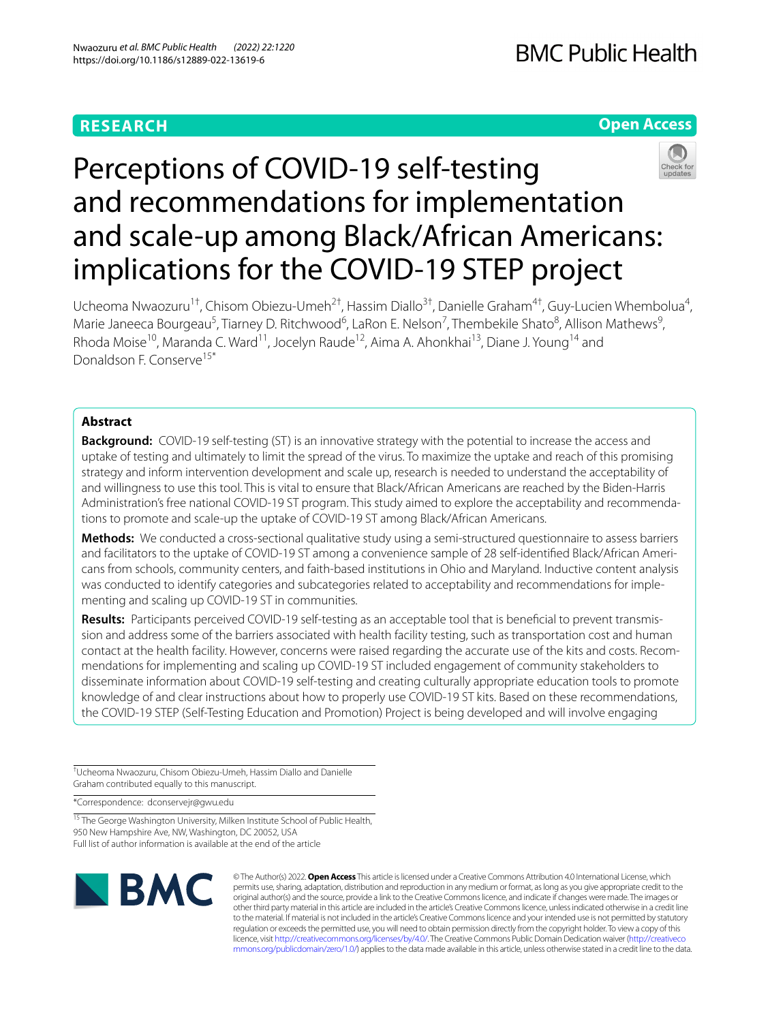# **RESEARCH**

# **Open Access**



# Perceptions of COVID-19 self-testing and recommendations for implementation and scale-up among Black/African Americans: implications for the COVID-19 STEP project

Ucheoma Nwaozuru<sup>1†</sup>, Chisom Obiezu-Umeh<sup>2†</sup>, Hassim Diallo<sup>3†</sup>, Danielle Graham<sup>4†</sup>, Guy-Lucien Whembolua<sup>4</sup>, Marie Janeeca Bourgeau<sup>5</sup>, Tiarney D. Ritchwood<sup>6</sup>, LaRon E. Nelson<sup>7</sup>, Thembekile Shato<sup>8</sup>, Allison Mathews<sup>9</sup>, Rhoda Moise<sup>10</sup>, Maranda C. Ward<sup>11</sup>, Jocelyn Raude<sup>12</sup>, Aima A. Ahonkhai<sup>13</sup>, Diane J. Young<sup>14</sup> and Donaldson F. Conserve15\*

## **Abstract**

**Background:** COVID-19 self-testing (ST) is an innovative strategy with the potential to increase the access and uptake of testing and ultimately to limit the spread of the virus. To maximize the uptake and reach of this promising strategy and inform intervention development and scale up, research is needed to understand the acceptability of and willingness to use this tool. This is vital to ensure that Black/African Americans are reached by the Biden-Harris Administration's free national COVID-19 ST program. This study aimed to explore the acceptability and recommendations to promote and scale-up the uptake of COVID-19 ST among Black/African Americans.

**Methods:** We conducted a cross-sectional qualitative study using a semi-structured questionnaire to assess barriers and facilitators to the uptake of COVID-19 ST among a convenience sample of 28 self-identified Black/African Americans from schools, community centers, and faith-based institutions in Ohio and Maryland. Inductive content analysis was conducted to identify categories and subcategories related to acceptability and recommendations for implementing and scaling up COVID-19 ST in communities.

**Results:** Participants perceived COVID-19 self-testing as an acceptable tool that is beneficial to prevent transmission and address some of the barriers associated with health facility testing, such as transportation cost and human contact at the health facility. However, concerns were raised regarding the accurate use of the kits and costs. Recommendations for implementing and scaling up COVID-19 ST included engagement of community stakeholders to disseminate information about COVID-19 self-testing and creating culturally appropriate education tools to promote knowledge of and clear instructions about how to properly use COVID-19 ST kits. Based on these recommendations, the COVID-19 STEP (Self-Testing Education and Promotion) Project is being developed and will involve engaging

† Ucheoma Nwaozuru, Chisom Obiezu-Umeh, Hassim Diallo and Danielle Graham contributed equally to this manuscript.

\*Correspondence: dconservejr@gwu.edu

<sup>15</sup> The George Washington University, Milken Institute School of Public Health, 950 New Hampshire Ave, NW, Washington, DC 20052, USA Full list of author information is available at the end of the article



© The Author(s) 2022. **Open Access** This article is licensed under a Creative Commons Attribution 4.0 International License, which permits use, sharing, adaptation, distribution and reproduction in any medium or format, as long as you give appropriate credit to the original author(s) and the source, provide a link to the Creative Commons licence, and indicate if changes were made. The images or other third party material in this article are included in the article's Creative Commons licence, unless indicated otherwise in a credit line to the material. If material is not included in the article's Creative Commons licence and your intended use is not permitted by statutory regulation or exceeds the permitted use, you will need to obtain permission directly from the copyright holder. To view a copy of this licence, visit [http://creativecommons.org/licenses/by/4.0/.](http://creativecommons.org/licenses/by/4.0/) The Creative Commons Public Domain Dedication waiver ([http://creativeco](http://creativecommons.org/publicdomain/zero/1.0/) [mmons.org/publicdomain/zero/1.0/](http://creativecommons.org/publicdomain/zero/1.0/)) applies to the data made available in this article, unless otherwise stated in a credit line to the data.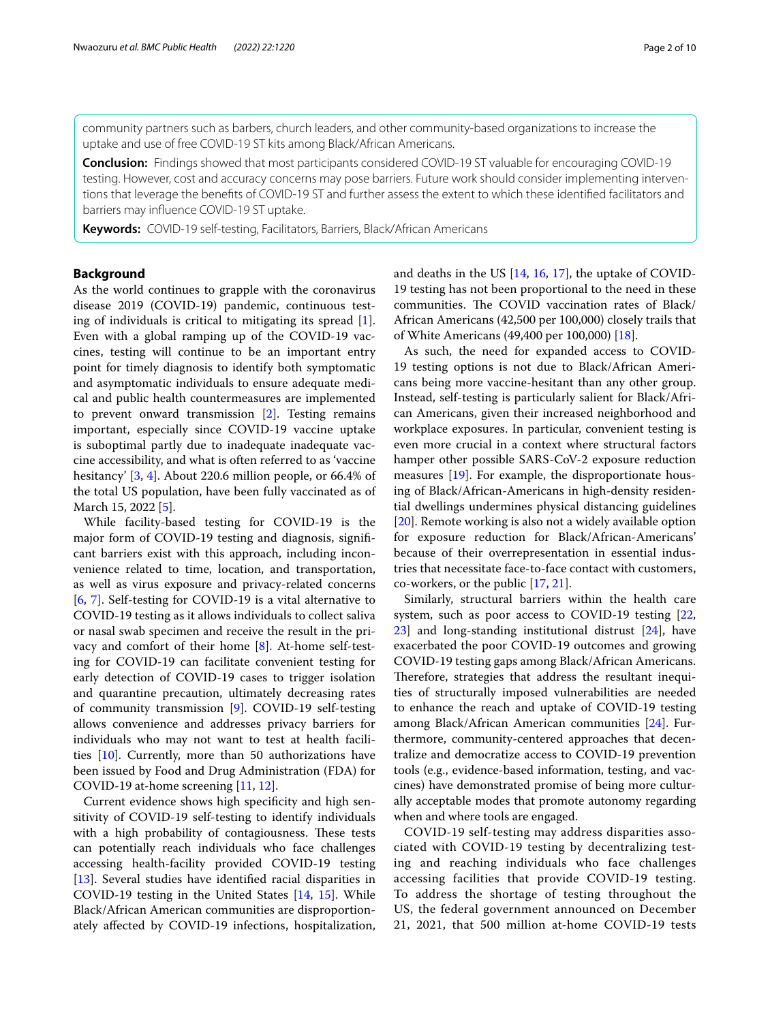community partners such as barbers, church leaders, and other community-based organizations to increase the uptake and use of free COVID-19 ST kits among Black/African Americans.

**Conclusion:** Findings showed that most participants considered COVID-19 ST valuable for encouraging COVID-19 testing. However, cost and accuracy concerns may pose barriers. Future work should consider implementing interventions that leverage the benefts of COVID-19 ST and further assess the extent to which these identifed facilitators and barriers may infuence COVID-19 ST uptake.

**Keywords:** COVID-19 self-testing, Facilitators, Barriers, Black/African Americans

## **Background**

As the world continues to grapple with the coronavirus disease 2019 (COVID-19) pandemic, continuous testing of individuals is critical to mitigating its spread [\[1](#page-8-0)]. Even with a global ramping up of the COVID-19 vaccines, testing will continue to be an important entry point for timely diagnosis to identify both symptomatic and asymptomatic individuals to ensure adequate medical and public health countermeasures are implemented to prevent onward transmission [\[2\]](#page-8-1). Testing remains important, especially since COVID-19 vaccine uptake is suboptimal partly due to inadequate inadequate vaccine accessibility, and what is often referred to as 'vaccine hesitancy' [[3,](#page-8-2) [4\]](#page-8-3). About 220.6 million people, or 66.4% of the total US population, have been fully vaccinated as of March 15, 2022 [[5\]](#page-8-4).

While facility-based testing for COVID-19 is the major form of COVID-19 testing and diagnosis, signifcant barriers exist with this approach, including inconvenience related to time, location, and transportation, as well as virus exposure and privacy-related concerns [[6,](#page-8-5) [7](#page-8-6)]. Self-testing for COVID-19 is a vital alternative to COVID-19 testing as it allows individuals to collect saliva or nasal swab specimen and receive the result in the privacy and comfort of their home [\[8](#page-8-7)]. At-home self-testing for COVID-19 can facilitate convenient testing for early detection of COVID-19 cases to trigger isolation and quarantine precaution, ultimately decreasing rates of community transmission [[9\]](#page-8-8). COVID-19 self-testing allows convenience and addresses privacy barriers for individuals who may not want to test at health facilities [[10\]](#page-8-9). Currently, more than 50 authorizations have been issued by Food and Drug Administration (FDA) for COVID-19 at-home screening [[11](#page-8-10), [12\]](#page-8-11).

Current evidence shows high specifcity and high sensitivity of COVID-19 self-testing to identify individuals with a high probability of contagiousness. These tests can potentially reach individuals who face challenges accessing health-facility provided COVID-19 testing [[13\]](#page-8-12). Several studies have identifed racial disparities in COVID-19 testing in the United States [\[14](#page-8-13), [15](#page-8-14)]. While Black/African American communities are disproportionately afected by COVID-19 infections, hospitalization, and deaths in the US [[14](#page-8-13), [16](#page-8-15), [17](#page-8-16)], the uptake of COVID-19 testing has not been proportional to the need in these communities. The COVID vaccination rates of Black/ African Americans (42,500 per 100,000) closely trails that of White Americans (49,400 per 100,000) [\[18](#page-8-17)].

As such, the need for expanded access to COVID-19 testing options is not due to Black/African Americans being more vaccine-hesitant than any other group. Instead, self-testing is particularly salient for Black/African Americans, given their increased neighborhood and workplace exposures. In particular, convenient testing is even more crucial in a context where structural factors hamper other possible SARS-CoV-2 exposure reduction measures [\[19\]](#page-8-18). For example, the disproportionate housing of Black/African-Americans in high-density residential dwellings undermines physical distancing guidelines [[20\]](#page-8-19). Remote working is also not a widely available option for exposure reduction for Black/African-Americans' because of their overrepresentation in essential industries that necessitate face-to-face contact with customers, co-workers, or the public [[17,](#page-8-16) [21\]](#page-8-20).

Similarly, structural barriers within the health care system, such as poor access to COVID-19 testing [[22](#page-8-21), [23\]](#page-8-22) and long-standing institutional distrust [\[24](#page-8-23)], have exacerbated the poor COVID-19 outcomes and growing COVID-19 testing gaps among Black/African Americans. Therefore, strategies that address the resultant inequities of structurally imposed vulnerabilities are needed to enhance the reach and uptake of COVID-19 testing among Black/African American communities [\[24\]](#page-8-23). Furthermore, community-centered approaches that decentralize and democratize access to COVID-19 prevention tools (e.g., evidence-based information, testing, and vaccines) have demonstrated promise of being more culturally acceptable modes that promote autonomy regarding when and where tools are engaged.

COVID-19 self-testing may address disparities associated with COVID-19 testing by decentralizing testing and reaching individuals who face challenges accessing facilities that provide COVID-19 testing. To address the shortage of testing throughout the US, the federal government announced on December 21, 2021, that 500 million at-home COVID-19 tests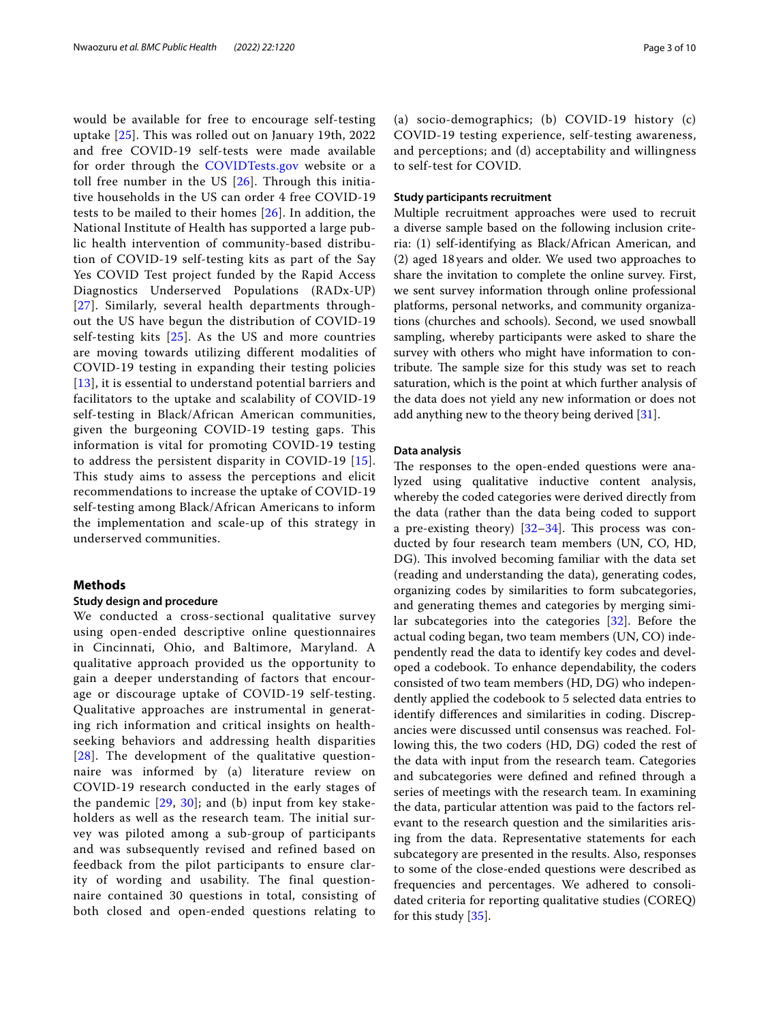would be available for free to encourage self-testing uptake [[25](#page-8-24)]. This was rolled out on January 19th, 2022 and free COVID-19 self-tests were made available for order through the [COVIDTests.gov](http://covidtests.gov) website or a toll free number in the US [\[26](#page-8-25)]. Through this initiative households in the US can order 4 free COVID-19 tests to be mailed to their homes [[26](#page-8-25)]. In addition, the National Institute of Health has supported a large public health intervention of community-based distribution of COVID-19 self-testing kits as part of the Say Yes COVID Test project funded by the Rapid Access Diagnostics Underserved Populations (RADx-UP) [[27](#page-8-26)]. Similarly, several health departments throughout the US have begun the distribution of COVID-19 self-testing kits [[25](#page-8-24)]. As the US and more countries are moving towards utilizing different modalities of COVID-19 testing in expanding their testing policies [[13](#page-8-12)], it is essential to understand potential barriers and facilitators to the uptake and scalability of COVID-19 self-testing in Black/African American communities, given the burgeoning COVID-19 testing gaps. This information is vital for promoting COVID-19 testing to address the persistent disparity in COVID-19 [[15\]](#page-8-14). This study aims to assess the perceptions and elicit recommendations to increase the uptake of COVID-19 self-testing among Black/African Americans to inform the implementation and scale-up of this strategy in underserved communities.

## **Methods**

## **Study design and procedure**

We conducted a cross-sectional qualitative survey using open-ended descriptive online questionnaires in Cincinnati, Ohio, and Baltimore, Maryland. A qualitative approach provided us the opportunity to gain a deeper understanding of factors that encourage or discourage uptake of COVID-19 self-testing. Qualitative approaches are instrumental in generating rich information and critical insights on healthseeking behaviors and addressing health disparities [[28](#page-8-27)]. The development of the qualitative questionnaire was informed by (a) literature review on COVID-19 research conducted in the early stages of the pandemic  $[29, 30]$  $[29, 30]$  $[29, 30]$  $[29, 30]$ ; and (b) input from key stakeholders as well as the research team. The initial survey was piloted among a sub-group of participants and was subsequently revised and refined based on feedback from the pilot participants to ensure clarity of wording and usability. The final questionnaire contained 30 questions in total, consisting of both closed and open-ended questions relating to

(a) socio-demographics; (b) COVID-19 history (c) COVID-19 testing experience, self-testing awareness, and perceptions; and (d) acceptability and willingness to self-test for COVID.

## **Study participants recruitment**

Multiple recruitment approaches were used to recruit a diverse sample based on the following inclusion criteria: (1) self-identifying as Black/African American, and (2) aged 18years and older. We used two approaches to share the invitation to complete the online survey. First, we sent survey information through online professional platforms, personal networks, and community organizations (churches and schools). Second, we used snowball sampling, whereby participants were asked to share the survey with others who might have information to contribute. The sample size for this study was set to reach saturation, which is the point at which further analysis of the data does not yield any new information or does not add anything new to the theory being derived [[31](#page-8-30)].

## **Data analysis**

The responses to the open-ended questions were analyzed using qualitative inductive content analysis, whereby the coded categories were derived directly from the data (rather than the data being coded to support a pre-existing theory)  $[32-34]$  $[32-34]$ . This process was conducted by four research team members (UN, CO, HD, DG). This involved becoming familiar with the data set (reading and understanding the data), generating codes, organizing codes by similarities to form subcategories, and generating themes and categories by merging similar subcategories into the categories [[32\]](#page-8-31). Before the actual coding began, two team members (UN, CO) independently read the data to identify key codes and developed a codebook. To enhance dependability, the coders consisted of two team members (HD, DG) who independently applied the codebook to 5 selected data entries to identify diferences and similarities in coding. Discrepancies were discussed until consensus was reached. Following this, the two coders (HD, DG) coded the rest of the data with input from the research team. Categories and subcategories were defned and refned through a series of meetings with the research team. In examining the data, particular attention was paid to the factors relevant to the research question and the similarities arising from the data. Representative statements for each subcategory are presented in the results. Also, responses to some of the close-ended questions were described as frequencies and percentages. We adhered to consolidated criteria for reporting qualitative studies (COREQ) for this study [[35](#page-8-33)].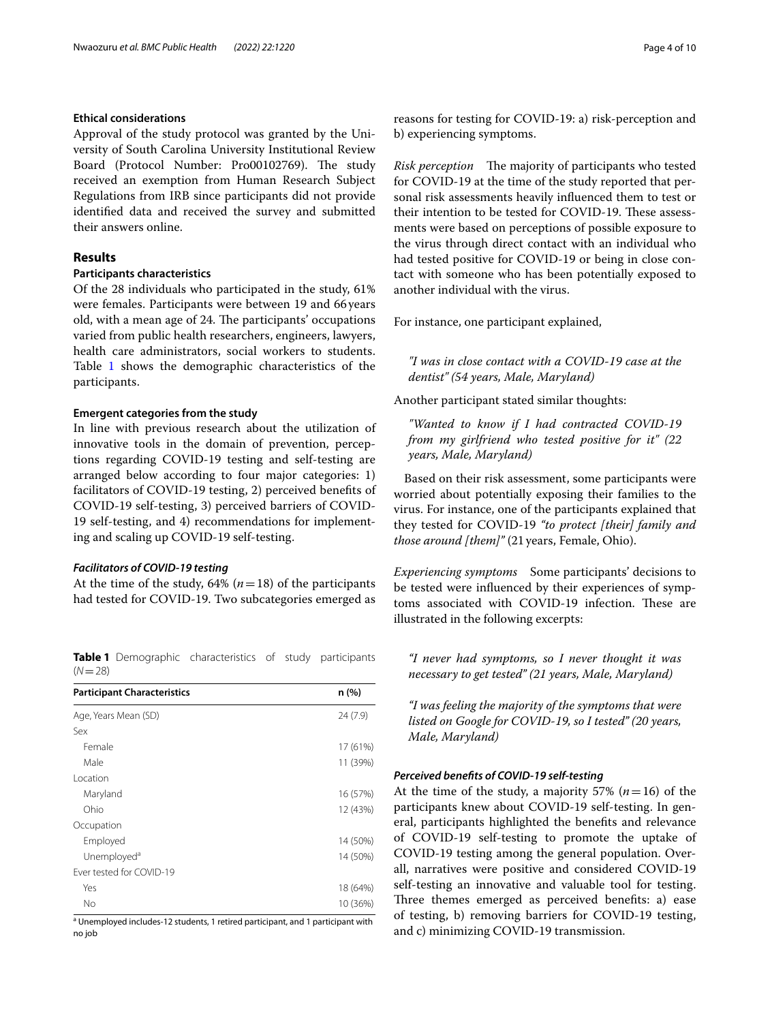## **Ethical considerations**

Approval of the study protocol was granted by the University of South Carolina University Institutional Review Board (Protocol Number: Pro00102769). The study received an exemption from Human Research Subject Regulations from IRB since participants did not provide identifed data and received the survey and submitted their answers online.

## **Results**

## **Participants characteristics**

Of the 28 individuals who participated in the study, 61% were females. Participants were between 19 and 66years old, with a mean age of 24. The participants' occupations varied from public health researchers, engineers, lawyers, health care administrators, social workers to students. Table [1](#page-3-0) shows the demographic characteristics of the participants.

## **Emergent categories from the study**

In line with previous research about the utilization of innovative tools in the domain of prevention, perceptions regarding COVID-19 testing and self-testing are arranged below according to four major categories: 1) facilitators of COVID-19 testing, 2) perceived benefts of COVID-19 self-testing, 3) perceived barriers of COVID-19 self-testing, and 4) recommendations for implementing and scaling up COVID-19 self-testing.

## *Facilitators of COVID‑19 testing*

At the time of the study,  $64\%$  ( $n=18$ ) of the participants had tested for COVID-19. Two subcategories emerged as

<span id="page-3-0"></span>**Table 1** Demographic characteristics of study participants  $(N=28)$ 

| <b>Participant Characteristics</b> | n(%)     |
|------------------------------------|----------|
| Age, Years Mean (SD)               | 24(7.9)  |
| Sex                                |          |
| Female                             | 17 (61%) |
| Male                               | 11 (39%) |
| Location                           |          |
| Maryland                           | 16 (57%) |
| Ohio                               | 12 (43%) |
| Occupation                         |          |
| Employed                           | 14 (50%) |
| Unemployed <sup>a</sup>            | 14 (50%) |
| Ever tested for COVID-19           |          |
| Yes                                | 18 (64%) |
| No                                 | 10 (36%) |

<sup>a</sup> Unemployed includes-12 students, 1 retired participant, and 1 participant with no job

reasons for testing for COVID-19: a) risk-perception and b) experiencing symptoms.

*Risk perception* The majority of participants who tested for COVID-19 at the time of the study reported that personal risk assessments heavily infuenced them to test or their intention to be tested for COVID-19. These assessments were based on perceptions of possible exposure to the virus through direct contact with an individual who had tested positive for COVID-19 or being in close contact with someone who has been potentially exposed to another individual with the virus.

For instance, one participant explained,

*"I was in close contact with a COVID-19 case at the dentist" (54 years, Male, Maryland)*

Another participant stated similar thoughts:

*"Wanted to know if I had contracted COVID-19 from my girlfriend who tested positive for it" (22 years, Male, Maryland)*

Based on their risk assessment, some participants were worried about potentially exposing their families to the virus. For instance, one of the participants explained that they tested for COVID-19 *"to protect [their] family and those around [them]"* (21years, Female, Ohio).

*Experiencing symptoms* Some participants' decisions to be tested were infuenced by their experiences of symptoms associated with COVID-19 infection. These are illustrated in the following excerpts:

*"I never had symptoms, so I never thought it was necessary to get tested" (21 years, Male, Maryland)*

*"I was feeling the majority of the symptoms that were listed on Google for COVID-19, so I tested" (20 years, Male, Maryland)*

## *Perceived benefts of COVID‑19 self‑testing*

At the time of the study, a majority 57%  $(n=16)$  of the participants knew about COVID-19 self-testing. In general, participants highlighted the benefts and relevance of COVID-19 self-testing to promote the uptake of COVID-19 testing among the general population. Overall, narratives were positive and considered COVID-19 self-testing an innovative and valuable tool for testing. Three themes emerged as perceived benefits: a) ease of testing, b) removing barriers for COVID-19 testing, and c) minimizing COVID-19 transmission.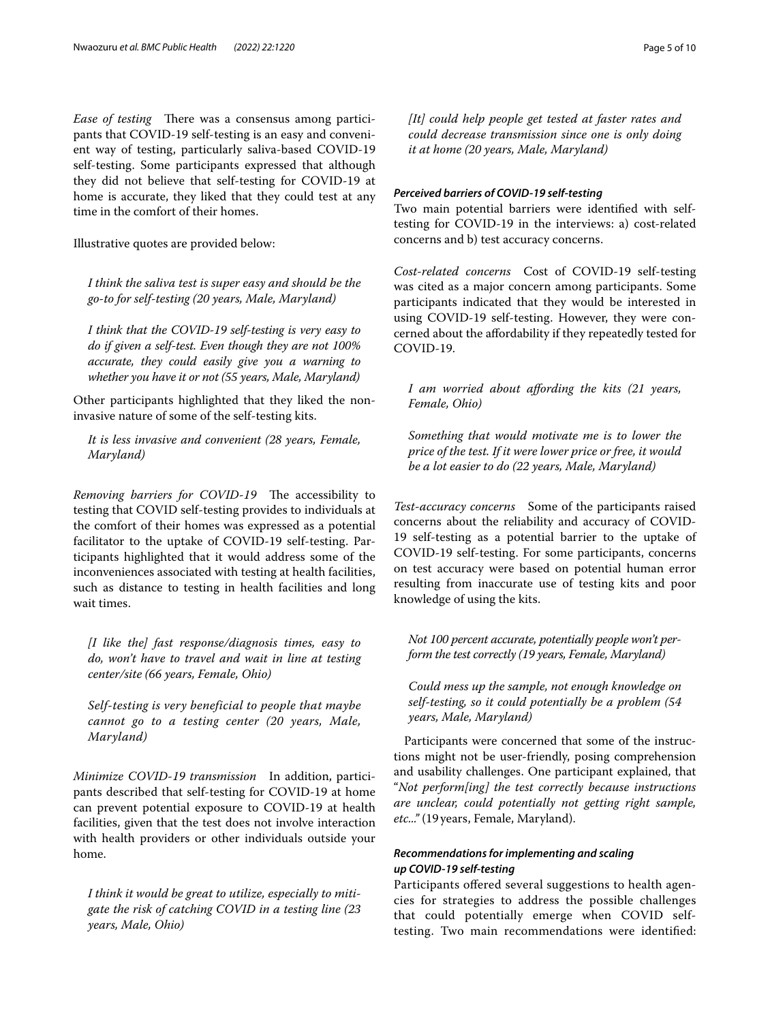*Ease of testing* There was a consensus among participants that COVID-19 self-testing is an easy and convenient way of testing, particularly saliva-based COVID-19 self-testing. Some participants expressed that although they did not believe that self-testing for COVID-19 at home is accurate, they liked that they could test at any time in the comfort of their homes.

Illustrative quotes are provided below:

*I think the saliva test is super easy and should be the go-to for self-testing (20 years, Male, Maryland)*

*I think that the COVID-19 self-testing is very easy to do if given a self-test. Even though they are not 100% accurate, they could easily give you a warning to whether you have it or not (55 years, Male, Maryland)*

Other participants highlighted that they liked the noninvasive nature of some of the self-testing kits.

*It is less invasive and convenient (28 years, Female, Maryland)*

*Removing barriers for COVID-19* The accessibility to testing that COVID self-testing provides to individuals at the comfort of their homes was expressed as a potential facilitator to the uptake of COVID-19 self-testing. Participants highlighted that it would address some of the inconveniences associated with testing at health facilities, such as distance to testing in health facilities and long wait times.

*[I like the] fast response/diagnosis times, easy to do, won't have to travel and wait in line at testing center/site (66 years, Female, Ohio)*

*Self-testing is very beneficial to people that maybe cannot go to a testing center (20 years, Male, Maryland)*

*Minimize COVID-19 transmission* In addition, participants described that self-testing for COVID-19 at home can prevent potential exposure to COVID-19 at health facilities, given that the test does not involve interaction with health providers or other individuals outside your home.

*I think it would be great to utilize, especially to mitigate the risk of catching COVID in a testing line (23 years, Male, Ohio)*

*[It] could help people get tested at faster rates and could decrease transmission since one is only doing it at home (20 years, Male, Maryland)*

## *Perceived barriers of COVID‑19 self‑testing*

Two main potential barriers were identifed with selftesting for COVID-19 in the interviews: a) cost-related concerns and b) test accuracy concerns.

*Cost-related concerns* Cost of COVID-19 self-testing was cited as a major concern among participants. Some participants indicated that they would be interested in using COVID-19 self-testing. However, they were concerned about the afordability if they repeatedly tested for COVID-19.

*I am worried about afording the kits (21 years, Female, Ohio)*

*Something that would motivate me is to lower the price of the test. If it were lower price or free, it would be a lot easier to do (22 years, Male, Maryland)*

*Test-accuracy concerns* Some of the participants raised concerns about the reliability and accuracy of COVID-19 self-testing as a potential barrier to the uptake of COVID-19 self-testing. For some participants, concerns on test accuracy were based on potential human error resulting from inaccurate use of testing kits and poor knowledge of using the kits.

*Not 100 percent accurate, potentially people won't perform the test correctly (19 years, Female, Maryland)*

*Could mess up the sample, not enough knowledge on self-testing, so it could potentially be a problem (54 years, Male, Maryland)*

Participants were concerned that some of the instructions might not be user-friendly, posing comprehension and usability challenges. One participant explained, that "*Not perform[ing] the test correctly because instructions are unclear, could potentially not getting right sample, etc..."* (19years, Female, Maryland).

## *Recommendations for implementing and scaling up COVID‑19 self‑testing*

Participants ofered several suggestions to health agencies for strategies to address the possible challenges that could potentially emerge when COVID selftesting. Two main recommendations were identifed: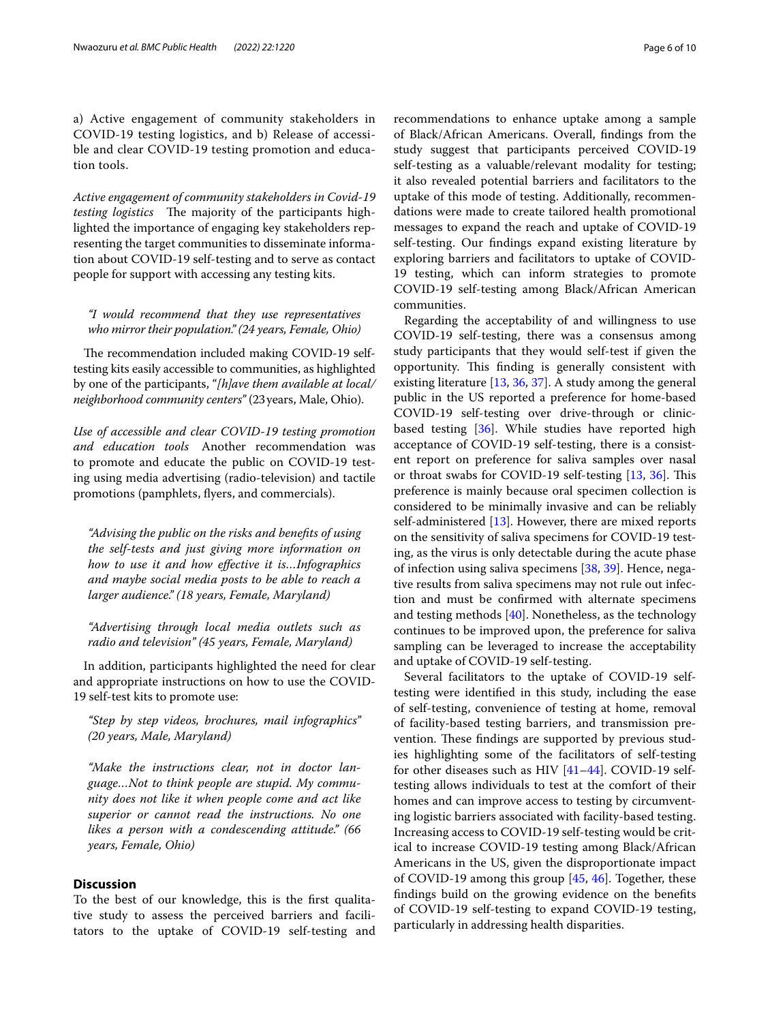a) Active engagement of community stakeholders in COVID-19 testing logistics, and b) Release of accessible and clear COVID-19 testing promotion and education tools.

*Active engagement of community stakeholders in Covid-19 testing logistics* The majority of the participants highlighted the importance of engaging key stakeholders representing the target communities to disseminate information about COVID-19 self-testing and to serve as contact people for support with accessing any testing kits.

*"I would recommend that they use representatives who mirror their population." (24 years, Female, Ohio)*

The recommendation included making COVID-19 selftesting kits easily accessible to communities, as highlighted by one of the participants, "*[h]ave them available at local/ neighborhood community centers"* (23years, Male, Ohio).

*Use of accessible and clear COVID-19 testing promotion and education tools* Another recommendation was to promote and educate the public on COVID-19 testing using media advertising (radio-television) and tactile promotions (pamphlets, fyers, and commercials).

*"Advising the public on the risks and benefts of using the self-tests and just giving more information on how to use it and how efective it is…Infographics and maybe social media posts to be able to reach a larger audience." (18 years, Female, Maryland)*

*"Advertising through local media outlets such as radio and television" (45 years, Female, Maryland)*

In addition, participants highlighted the need for clear and appropriate instructions on how to use the COVID-19 self-test kits to promote use:

*"Step by step videos, brochures, mail infographics" (20 years, Male, Maryland)*

*"Make the instructions clear, not in doctor language…Not to think people are stupid. My community does not like it when people come and act like superior or cannot read the instructions. No one likes a person with a condescending attitude." (66 years, Female, Ohio)*

## **Discussion**

To the best of our knowledge, this is the frst qualitative study to assess the perceived barriers and facilitators to the uptake of COVID-19 self-testing and recommendations to enhance uptake among a sample of Black/African Americans. Overall, fndings from the study suggest that participants perceived COVID-19 self-testing as a valuable/relevant modality for testing; it also revealed potential barriers and facilitators to the uptake of this mode of testing. Additionally, recommendations were made to create tailored health promotional messages to expand the reach and uptake of COVID-19 self-testing. Our fndings expand existing literature by exploring barriers and facilitators to uptake of COVID-19 testing, which can inform strategies to promote COVID-19 self-testing among Black/African American communities.

Regarding the acceptability of and willingness to use COVID-19 self-testing, there was a consensus among study participants that they would self-test if given the opportunity. This finding is generally consistent with existing literature [\[13,](#page-8-12) [36](#page-8-34), [37](#page-8-35)]. A study among the general public in the US reported a preference for home-based COVID-19 self-testing over drive-through or clinicbased testing [[36\]](#page-8-34). While studies have reported high acceptance of COVID-19 self-testing, there is a consistent report on preference for saliva samples over nasal or throat swabs for COVID-19 self-testing [\[13](#page-8-12), [36\]](#page-8-34). This preference is mainly because oral specimen collection is considered to be minimally invasive and can be reliably self-administered [[13\]](#page-8-12). However, there are mixed reports on the sensitivity of saliva specimens for COVID-19 testing, as the virus is only detectable during the acute phase of infection using saliva specimens [\[38](#page-8-36), [39\]](#page-8-37). Hence, negative results from saliva specimens may not rule out infection and must be confrmed with alternate specimens and testing methods [[40\]](#page-8-38). Nonetheless, as the technology continues to be improved upon, the preference for saliva sampling can be leveraged to increase the acceptability and uptake of COVID-19 self-testing.

Several facilitators to the uptake of COVID-19 selftesting were identifed in this study, including the ease of self-testing, convenience of testing at home, removal of facility-based testing barriers, and transmission prevention. These findings are supported by previous studies highlighting some of the facilitators of self-testing for other diseases such as HIV [[41](#page-8-39)[–44](#page-9-0)]. COVID-19 selftesting allows individuals to test at the comfort of their homes and can improve access to testing by circumventing logistic barriers associated with facility-based testing. Increasing access to COVID-19 self-testing would be critical to increase COVID-19 testing among Black/African Americans in the US, given the disproportionate impact of COVID-19 among this group [[45,](#page-9-1) [46\]](#page-9-2). Together, these fndings build on the growing evidence on the benefts of COVID-19 self-testing to expand COVID-19 testing, particularly in addressing health disparities.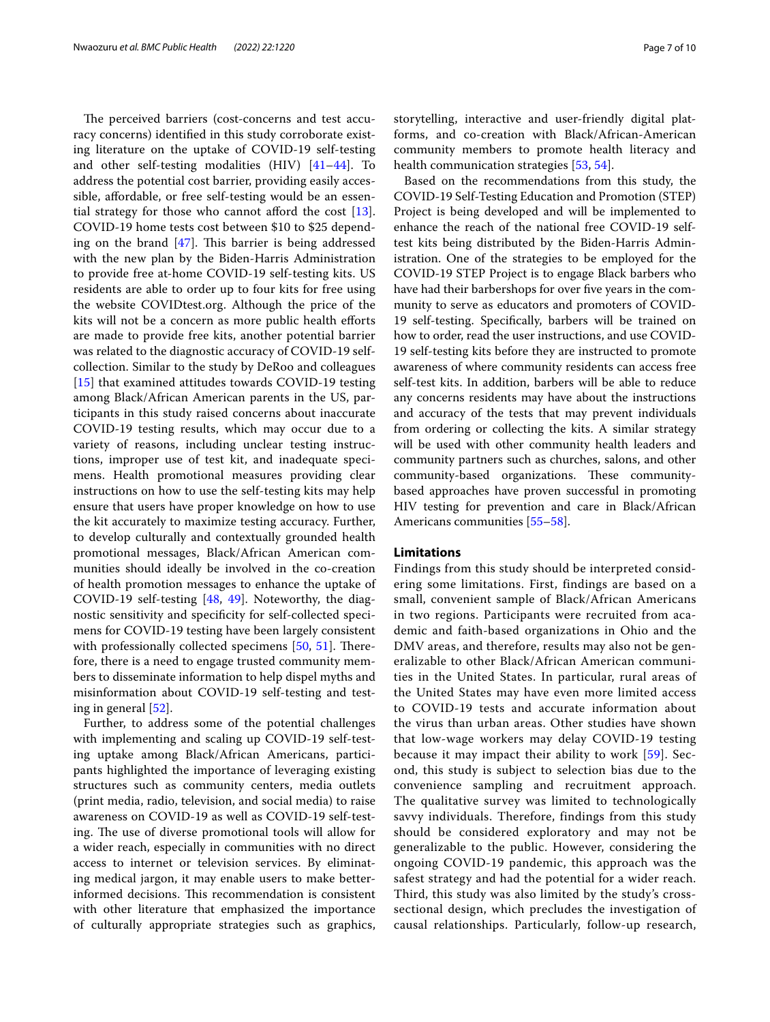The perceived barriers (cost-concerns and test accuracy concerns) identifed in this study corroborate existing literature on the uptake of COVID-19 self-testing and other self-testing modalities  $(HIV)$   $[41-44]$  $[41-44]$ . To address the potential cost barrier, providing easily accessible, afordable, or free self-testing would be an essential strategy for those who cannot afford the cost  $[13]$  $[13]$ . COVID-19 home tests cost between \$10 to \$25 depending on the brand  $[47]$  $[47]$ . This barrier is being addressed with the new plan by the Biden-Harris Administration to provide free at-home COVID-19 self-testing kits. US residents are able to order up to four kits for free using the website COVIDtest.org. Although the price of the kits will not be a concern as more public health eforts are made to provide free kits, another potential barrier was related to the diagnostic accuracy of COVID-19 selfcollection. Similar to the study by DeRoo and colleagues [[15\]](#page-8-14) that examined attitudes towards COVID-19 testing among Black/African American parents in the US, participants in this study raised concerns about inaccurate COVID-19 testing results, which may occur due to a variety of reasons, including unclear testing instructions, improper use of test kit, and inadequate specimens. Health promotional measures providing clear instructions on how to use the self-testing kits may help ensure that users have proper knowledge on how to use the kit accurately to maximize testing accuracy. Further, to develop culturally and contextually grounded health promotional messages, Black/African American communities should ideally be involved in the co-creation of health promotion messages to enhance the uptake of COVID-19 self-testing [[48,](#page-9-4) [49](#page-9-5)]. Noteworthy, the diagnostic sensitivity and specifcity for self-collected specimens for COVID-19 testing have been largely consistent with professionally collected specimens  $[50, 51]$  $[50, 51]$  $[50, 51]$  $[50, 51]$  $[50, 51]$ . Therefore, there is a need to engage trusted community members to disseminate information to help dispel myths and misinformation about COVID-19 self-testing and testing in general [\[52](#page-9-8)].

Further, to address some of the potential challenges with implementing and scaling up COVID-19 self-testing uptake among Black/African Americans, participants highlighted the importance of leveraging existing structures such as community centers, media outlets (print media, radio, television, and social media) to raise awareness on COVID-19 as well as COVID-19 self-testing. The use of diverse promotional tools will allow for a wider reach, especially in communities with no direct access to internet or television services. By eliminating medical jargon, it may enable users to make betterinformed decisions. This recommendation is consistent with other literature that emphasized the importance of culturally appropriate strategies such as graphics,

storytelling, interactive and user-friendly digital platforms, and co-creation with Black/African-American community members to promote health literacy and health communication strategies [\[53](#page-9-9), [54\]](#page-9-10).

Based on the recommendations from this study, the COVID-19 Self-Testing Education and Promotion (STEP) Project is being developed and will be implemented to enhance the reach of the national free COVID-19 selftest kits being distributed by the Biden-Harris Administration. One of the strategies to be employed for the COVID-19 STEP Project is to engage Black barbers who have had their barbershops for over five years in the community to serve as educators and promoters of COVID-19 self-testing. Specifcally, barbers will be trained on how to order, read the user instructions, and use COVID-19 self-testing kits before they are instructed to promote awareness of where community residents can access free self-test kits. In addition, barbers will be able to reduce any concerns residents may have about the instructions and accuracy of the tests that may prevent individuals from ordering or collecting the kits. A similar strategy will be used with other community health leaders and community partners such as churches, salons, and other community-based organizations. These communitybased approaches have proven successful in promoting HIV testing for prevention and care in Black/African Americans communities [\[55](#page-9-11)[–58\]](#page-9-12).

## **Limitations**

Findings from this study should be interpreted considering some limitations. First, findings are based on a small, convenient sample of Black/African Americans in two regions. Participants were recruited from academic and faith-based organizations in Ohio and the DMV areas, and therefore, results may also not be generalizable to other Black/African American communities in the United States. In particular, rural areas of the United States may have even more limited access to COVID-19 tests and accurate information about the virus than urban areas. Other studies have shown that low-wage workers may delay COVID-19 testing because it may impact their ability to work [[59](#page-9-13)]. Second, this study is subject to selection bias due to the convenience sampling and recruitment approach. The qualitative survey was limited to technologically savvy individuals. Therefore, findings from this study should be considered exploratory and may not be generalizable to the public. However, considering the ongoing COVID-19 pandemic, this approach was the safest strategy and had the potential for a wider reach. Third, this study was also limited by the study's crosssectional design, which precludes the investigation of causal relationships. Particularly, follow-up research,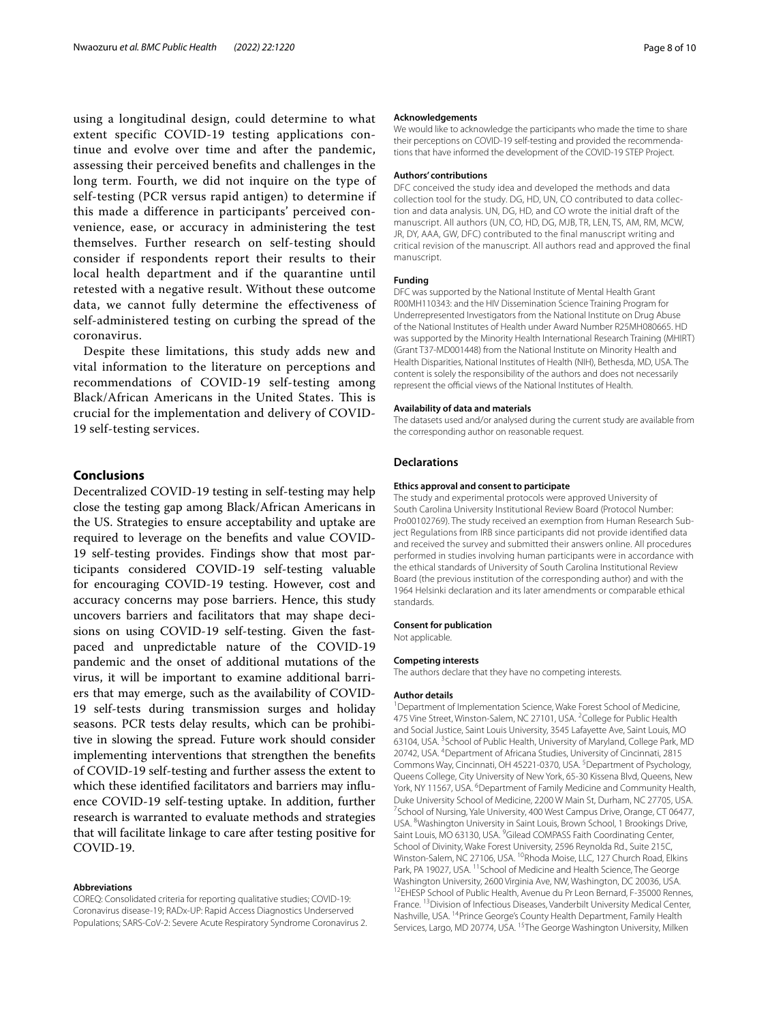using a longitudinal design, could determine to what extent specific COVID-19 testing applications continue and evolve over time and after the pandemic, assessing their perceived benefits and challenges in the long term. Fourth, we did not inquire on the type of self-testing (PCR versus rapid antigen) to determine if this made a difference in participants' perceived convenience, ease, or accuracy in administering the test themselves. Further research on self-testing should consider if respondents report their results to their local health department and if the quarantine until retested with a negative result. Without these outcome data, we cannot fully determine the effectiveness of self-administered testing on curbing the spread of the coronavirus.

Despite these limitations, this study adds new and vital information to the literature on perceptions and recommendations of COVID-19 self-testing among Black/African Americans in the United States. This is crucial for the implementation and delivery of COVID-19 self-testing services.

## **Conclusions**

Decentralized COVID-19 testing in self-testing may help close the testing gap among Black/African Americans in the US. Strategies to ensure acceptability and uptake are required to leverage on the benefts and value COVID-19 self-testing provides. Findings show that most participants considered COVID-19 self-testing valuable for encouraging COVID-19 testing. However, cost and accuracy concerns may pose barriers. Hence, this study uncovers barriers and facilitators that may shape decisions on using COVID-19 self-testing. Given the fastpaced and unpredictable nature of the COVID-19 pandemic and the onset of additional mutations of the virus, it will be important to examine additional barriers that may emerge, such as the availability of COVID-19 self-tests during transmission surges and holiday seasons. PCR tests delay results, which can be prohibitive in slowing the spread. Future work should consider implementing interventions that strengthen the benefts of COVID-19 self-testing and further assess the extent to which these identified facilitators and barriers may influence COVID-19 self-testing uptake. In addition, further research is warranted to evaluate methods and strategies that will facilitate linkage to care after testing positive for COVID-19.

### **Abbreviations**

COREQ: Consolidated criteria for reporting qualitative studies; COVID-19: Coronavirus disease-19; RADx-UP: Rapid Access Diagnostics Underserved Populations; SARS-CoV-2: Severe Acute Respiratory Syndrome Coronavirus 2.

#### **Acknowledgements**

We would like to acknowledge the participants who made the time to share their perceptions on COVID-19 self-testing and provided the recommenda‑ tions that have informed the development of the COVID-19 STEP Project.

#### **Authors' contributions**

DFC conceived the study idea and developed the methods and data collection tool for the study. DG, HD, UN, CO contributed to data collection and data analysis. UN, DG, HD, and CO wrote the initial draft of the manuscript. All authors (UN, CO, HD, DG, MJB, TR, LEN, TS, AM, RM, MCW, JR, DY, AAA, GW, DFC) contributed to the final manuscript writing and critical revision of the manuscript. All authors read and approved the final manuscript.

#### **Funding**

DFC was supported by the National Institute of Mental Health Grant R00MH110343: and the HIV Dissemination Science Training Program for Underrepresented Investigators from the National Institute on Drug Abuse of the National Institutes of Health under Award Number R25MH080665. HD was supported by the Minority Health International Research Training (MHIRT) (Grant T37-MD001448) from the National Institute on Minority Health and Health Disparities, National Institutes of Health (NIH), Bethesda, MD, USA. The content is solely the responsibility of the authors and does not necessarily represent the official views of the National Institutes of Health.

#### **Availability of data and materials**

The datasets used and/or analysed during the current study are available from the corresponding author on reasonable request.

### **Declarations**

#### **Ethics approval and consent to participate**

The study and experimental protocols were approved University of South Carolina University Institutional Review Board (Protocol Number: Pro00102769). The study received an exemption from Human Research Subject Regulations from IRB since participants did not provide identifed data and received the survey and submitted their answers online. All procedures performed in studies involving human participants were in accordance with the ethical standards of University of South Carolina Institutional Review Board (the previous institution of the corresponding author) and with the 1964 Helsinki declaration and its later amendments or comparable ethical standards.

#### **Consent for publication**

Not applicable.

#### **Competing interests**

The authors declare that they have no competing interests.

#### **Author details**

<sup>1</sup> Department of Implementation Science, Wake Forest School of Medicine, 475 Vine Street, Winston-Salem, NC 27101, USA. <sup>2</sup> College for Public Health and Social Justice, Saint Louis University, 3545 Lafayette Ave, Saint Louis, MO 63104, USA. <sup>3</sup> School of Public Health, University of Maryland, College Park, MD 20742, USA. 4 Department of Africana Studies, University of Cincinnati, 2815 Commons Way, Cincinnati, OH 45221-0370, USA.<sup>5</sup> Department of Psychology, Queens College, City University of New York, 65‑30 Kissena Blvd, Queens, New York, NY 11567, USA. <sup>6</sup> Department of Family Medicine and Community Health, Duke University School of Medicine, 2200 W Main St, Durham, NC 27705, USA. 7 <sup>7</sup> School of Nursing, Yale University, 400 West Campus Drive, Orange, CT 06477, USA. <sup>8</sup>Washington University in Saint Louis, Brown School, 1 Brookings Drive, Saint Louis, MO 63130, USA.<sup>9</sup> Gilead COMPASS Faith Coordinating Center, School of Divinity, Wake Forest University, 2596 Reynolda Rd., Suite 215C, Winston-Salem, NC 27106, USA. <sup>10</sup>Rhoda Moise, LLC, 127 Church Road, Elkins Park, PA 19027, USA. <sup>11</sup> School of Medicine and Health Science, The George Washington University, 2600 Virginia Ave, NW, Washington, DC 20036, USA.<br><sup>12</sup>EHESP School of Public Health, Avenue du Pr Leon Bernard, F‑35000 Rennes, France. 13Division of Infectious Diseases, Vanderbilt University Medical Center, Nashville, USA. 14Prince George's County Health Department, Family Health Services, Largo, MD 20774, USA. <sup>15</sup>The George Washington University, Milken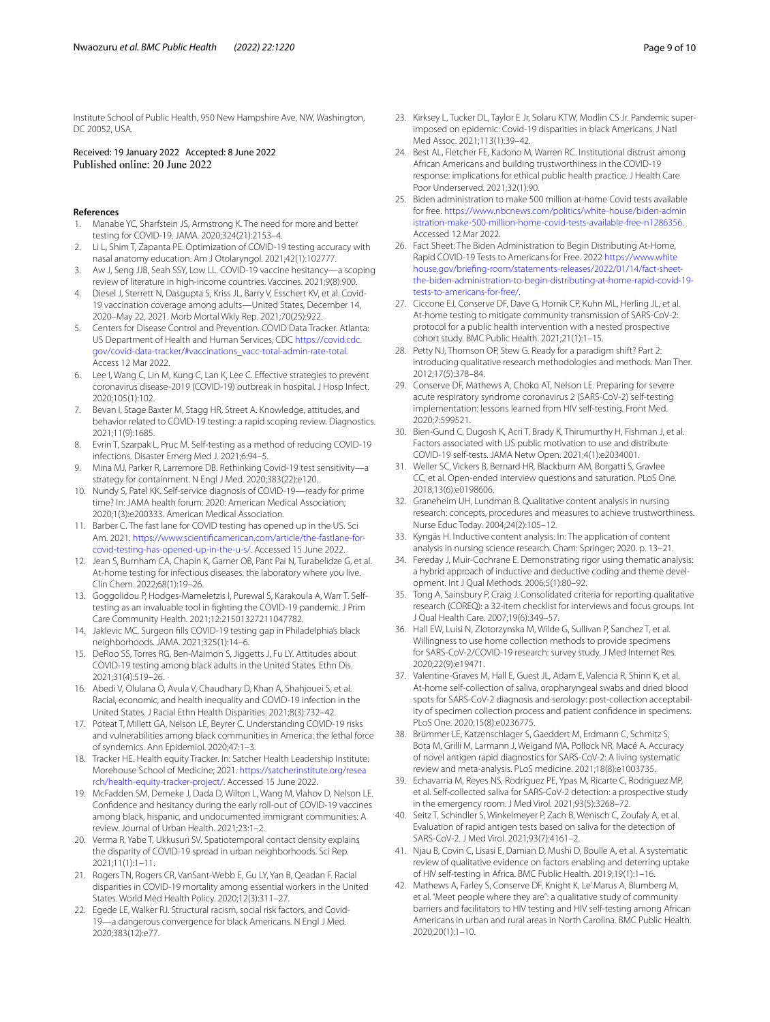Institute School of Public Health, 950 New Hampshire Ave, NW, Washington, DC 20052, USA.

Received: 19 January 2022 Accepted: 8 June 2022

#### **References**

- <span id="page-8-0"></span>Manabe YC, Sharfstein JS, Armstrong K. The need for more and better testing for COVID-19. JAMA. 2020;324(21):2153–4.
- <span id="page-8-1"></span>2. Li L, Shim T, Zapanta PE. Optimization of COVID-19 testing accuracy with nasal anatomy education. Am J Otolaryngol. 2021;42(1):102777.
- <span id="page-8-2"></span>3. Aw J, Seng JJB, Seah SSY, Low LL. COVID-19 vaccine hesitancy—a scoping review of literature in high-income countries. Vaccines. 2021;9(8):900.
- <span id="page-8-3"></span>4. Diesel J, Sterrett N, Dasgupta S, Kriss JL, Barry V, Esschert KV, et al. Covid-19 vaccination coverage among adults—United States, December 14, 2020–May 22, 2021. Morb Mortal Wkly Rep. 2021;70(25):922.
- <span id="page-8-4"></span>5. Centers for Disease Control and Prevention. COVID Data Tracker. Atlanta: US Department of Health and Human Services, CDC [https://covid.cdc.](https://covid.cdc.gov/covid-data-tracker/#vaccinations_vacc-total-admin-rate-total) [gov/covid-data-tracker/#vaccinations\\_vacc-total-admin-rate-total.](https://covid.cdc.gov/covid-data-tracker/#vaccinations_vacc-total-admin-rate-total) Access 12 Mar 2022.
- <span id="page-8-5"></span>6. Lee I, Wang C, Lin M, Kung C, Lan K, Lee C. Efective strategies to prevent coronavirus disease-2019 (COVID-19) outbreak in hospital. J Hosp Infect. 2020;105(1):102.
- <span id="page-8-6"></span>7. Bevan I, Stage Baxter M, Stagg HR, Street A. Knowledge, attitudes, and behavior related to COVID-19 testing: a rapid scoping review. Diagnostics. 2021;11(9):1685.
- <span id="page-8-7"></span>8. Evrin T, Szarpak L, Pruc M. Self-testing as a method of reducing COVID-19 infections. Disaster Emerg Med J. 2021;6:94–5.
- <span id="page-8-8"></span>9. Mina MJ, Parker R, Larremore DB. Rethinking Covid-19 test sensitivity—a strategy for containment. N Engl J Med. 2020;383(22):e120.
- <span id="page-8-9"></span>10. Nundy S, Patel KK. Self-service diagnosis of COVID-19—ready for prime time? In: JAMA health forum: 2020: American Medical Association; 2020;1(3):e200333. American Medical Association.
- <span id="page-8-10"></span>11. Barber C. The fast lane for COVID testing has opened up in the US. Sci Am. 2021. [https://www.scientifcamerican.com/article/the-fastlane-for](https://www.scientificamerican.com/article/the-fastlane-for-covid-testing-has-opened-up-in-the-u-s/) [covid-testing-has-opened-up-in-the-u-s/.](https://www.scientificamerican.com/article/the-fastlane-for-covid-testing-has-opened-up-in-the-u-s/) Accessed 15 June 2022.
- <span id="page-8-11"></span>12. Jean S, Burnham CA, Chapin K, Garner OB, Pant Pai N, Turabelidze G, et al. At-home testing for infectious diseases: the laboratory where you live. Clin Chem. 2022;68(1):19–26.
- <span id="page-8-12"></span>13. Goggolidou P, Hodges-Mameletzis I, Purewal S, Karakoula A, Warr T. Selftesting as an invaluable tool in fghting the COVID-19 pandemic. J Prim Care Community Health. 2021;12:21501327211047782.
- <span id="page-8-13"></span>14. Jaklevic MC. Surgeon flls COVID-19 testing gap in Philadelphia's black neighborhoods. JAMA. 2021;325(1):14–6.
- <span id="page-8-14"></span>15. DeRoo SS, Torres RG, Ben-Maimon S, Jiggetts J, Fu LY. Attitudes about COVID-19 testing among black adults in the United States. Ethn Dis. 2021;31(4):519–26.
- <span id="page-8-15"></span>16. Abedi V, Olulana O, Avula V, Chaudhary D, Khan A, Shahjouei S, et al. Racial, economic, and health inequality and COVID-19 infection in the United States. J Racial Ethn Health Disparities. 2021;8(3):732–42.
- <span id="page-8-16"></span>17. Poteat T, Millett GA, Nelson LE, Beyrer C. Understanding COVID-19 risks and vulnerabilities among black communities in America: the lethal force of syndemics. Ann Epidemiol. 2020;47:1–3.
- <span id="page-8-17"></span>18. Tracker HE. Health equity Tracker. In: Satcher Health Leadership Institute: Morehouse School of Medicine; 2021. [https://satcherinstitute.org/resea](https://satcherinstitute.org/research/health-equity-tracker-project/) [rch/health-equity-tracker-project/.](https://satcherinstitute.org/research/health-equity-tracker-project/) Accessed 15 June 2022.
- <span id="page-8-18"></span>19. McFadden SM, Demeke J, Dada D, Wilton L, Wang M, Vlahov D, Nelson LE. Confdence and hesitancy during the early roll-out of COVID-19 vaccines among black, hispanic, and undocumented immigrant communities: A review. Journal of Urban Health. 2021;23:1–2.
- <span id="page-8-19"></span>20. Verma R, Yabe T, Ukkusuri SV. Spatiotemporal contact density explains the disparity of COVID-19 spread in urban neighborhoods. Sci Rep. 2021;11(1):1–11.
- <span id="page-8-20"></span>21. Rogers TN, Rogers CR, VanSant-Webb E, Gu LY, Yan B, Qeadan F. Racial disparities in COVID-19 mortality among essential workers in the United States. World Med Health Policy. 2020;12(3):311–27.
- <span id="page-8-21"></span>22. Egede LE, Walker RJ. Structural racism, social risk factors, and Covid-19—a dangerous convergence for black Americans. N Engl J Med. 2020;383(12):e77.
- <span id="page-8-22"></span>23. Kirksey L, Tucker DL, Taylor E Jr, Solaru KTW, Modlin CS Jr. Pandemic superimposed on epidemic: Covid-19 disparities in black Americans. J Natl Med Assoc. 2021;113(1):39–42.
- <span id="page-8-23"></span>24. Best AL, Fletcher FE, Kadono M, Warren RC. Institutional distrust among African Americans and building trustworthiness in the COVID-19 response: implications for ethical public health practice. J Health Care Poor Underserved. 2021;32(1):90.
- <span id="page-8-24"></span>25. Biden administration to make 500 million at-home Covid tests available for free. [https://www.nbcnews.com/politics/white-house/biden-admin](https://www.nbcnews.com/politics/white-house/biden-administration-make-500-million-home-covid-tests-available-free-n1286356) [istration-make-500-million-home-covid-tests-available-free-n1286356.](https://www.nbcnews.com/politics/white-house/biden-administration-make-500-million-home-covid-tests-available-free-n1286356) Accessed 12 Mar 2022.
- <span id="page-8-25"></span>26. Fact Sheet: The Biden Administration to Begin Distributing At-Home, Rapid COVID-19 Tests to Americans for Free. 2022 [https://www.white](https://www.whitehouse.gov/briefing-room/statements-releases/2022/01/14/fact-sheet-the-biden-administration-to-begin-distributing-at-home-rapid-covid-19-tests-to-americans-for-free/) [house.gov/briefing-room/statements-releases/2022/01/14/fact-sheet](https://www.whitehouse.gov/briefing-room/statements-releases/2022/01/14/fact-sheet-the-biden-administration-to-begin-distributing-at-home-rapid-covid-19-tests-to-americans-for-free/) [the-biden-administration-to-begin-distributing-at-home-rapid-covid-19](https://www.whitehouse.gov/briefing-room/statements-releases/2022/01/14/fact-sheet-the-biden-administration-to-begin-distributing-at-home-rapid-covid-19-tests-to-americans-for-free/) [tests-to-americans-for-free/](https://www.whitehouse.gov/briefing-room/statements-releases/2022/01/14/fact-sheet-the-biden-administration-to-begin-distributing-at-home-rapid-covid-19-tests-to-americans-for-free/).
- <span id="page-8-26"></span>27. Ciccone EJ, Conserve DF, Dave G, Hornik CP, Kuhn ML, Herling JL, et al. At-home testing to mitigate community transmission of SARS-CoV-2: protocol for a public health intervention with a nested prospective cohort study. BMC Public Health. 2021;21(1):1–15.
- <span id="page-8-27"></span>28. Petty NJ, Thomson OP, Stew G. Ready for a paradigm shift? Part 2: introducing qualitative research methodologies and methods. Man Ther. 2012;17(5):378–84.
- <span id="page-8-28"></span>29. Conserve DF, Mathews A, Choko AT, Nelson LE. Preparing for severe acute respiratory syndrome coronavirus 2 (SARS-CoV-2) self-testing implementation: lessons learned from HIV self-testing. Front Med. 2020;7:599521.
- <span id="page-8-29"></span>30. Bien-Gund C, Dugosh K, Acri T, Brady K, Thirumurthy H, Fishman J, et al. Factors associated with US public motivation to use and distribute COVID-19 self-tests. JAMA Netw Open. 2021;4(1):e2034001.
- <span id="page-8-30"></span>31. Weller SC, Vickers B, Bernard HR, Blackburn AM, Borgatti S, Gravlee CC, et al. Open-ended interview questions and saturation. PLoS One. 2018;13(6):e0198606.
- <span id="page-8-31"></span>32. Graneheim UH, Lundman B. Qualitative content analysis in nursing research: concepts, procedures and measures to achieve trustworthiness. Nurse Educ Today. 2004;24(2):105–12.
- 33. Kyngäs H. Inductive content analysis. In: The application of content analysis in nursing science research. Cham: Springer; 2020. p. 13–21.
- <span id="page-8-32"></span>34. Fereday J, Muir-Cochrane E. Demonstrating rigor using thematic analysis: a hybrid approach of inductive and deductive coding and theme development. Int J Qual Methods. 2006;5(1):80–92.
- <span id="page-8-33"></span>35. Tong A, Sainsbury P, Craig J. Consolidated criteria for reporting qualitative research (COREQ): a 32-item checklist for interviews and focus groups. Int J Qual Health Care. 2007;19(6):349–57.
- <span id="page-8-34"></span>36. Hall EW, Luisi N, Zlotorzynska M, Wilde G, Sullivan P, Sanchez T, et al. Willingness to use home collection methods to provide specimens for SARS-CoV-2/COVID-19 research: survey study. J Med Internet Res. 2020;22(9):e19471.
- <span id="page-8-35"></span>37. Valentine-Graves M, Hall E, Guest JL, Adam E, Valencia R, Shinn K, et al. At-home self-collection of saliva, oropharyngeal swabs and dried blood spots for SARS-CoV-2 diagnosis and serology: post-collection acceptability of specimen collection process and patient confdence in specimens. PLoS One. 2020;15(8):e0236775.
- <span id="page-8-36"></span>38. Brümmer LE, Katzenschlager S, Gaeddert M, Erdmann C, Schmitz S, Bota M, Grilli M, Larmann J, Weigand MA, Pollock NR, Macé A. Accuracy of novel antigen rapid diagnostics for SARS-CoV-2: A living systematic review and meta-analysis. PLoS medicine. 2021;18(8):e1003735.
- <span id="page-8-37"></span>39. Echavarria M, Reyes NS, Rodriguez PE, Ypas M, Ricarte C, Rodriguez MP, et al. Self-collected saliva for SARS-CoV-2 detection: a prospective study in the emergency room. J Med Virol. 2021;93(5):3268–72.
- <span id="page-8-38"></span>40. Seitz T, Schindler S, Winkelmeyer P, Zach B, Wenisch C, Zoufaly A, et al. Evaluation of rapid antigen tests based on saliva for the detection of SARS-CoV-2. J Med Virol. 2021;93(7):4161–2.
- <span id="page-8-39"></span>41. Njau B, Covin C, Lisasi E, Damian D, Mushi D, Boulle A, et al. A systematic review of qualitative evidence on factors enabling and deterring uptake of HIV self-testing in Africa. BMC Public Health. 2019;19(1):1–16.
- 42. Mathews A, Farley S, Conserve DF, Knight K, Le' Marus A, Blumberg M, et al. "Meet people where they are": a qualitative study of community barriers and facilitators to HIV testing and HIV self-testing among African Americans in urban and rural areas in North Carolina. BMC Public Health. 2020;20(1):1–10.